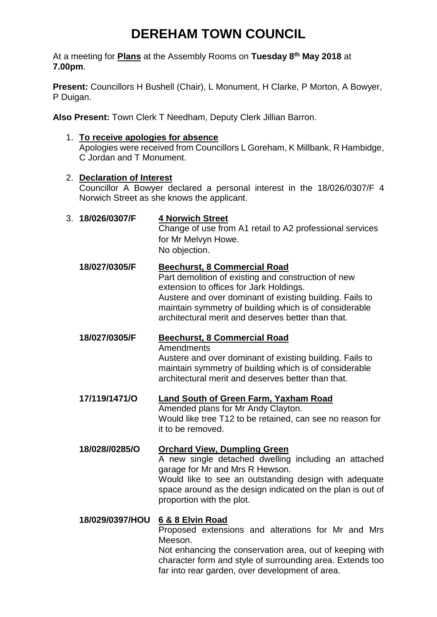# **DEREHAM TOWN COUNCIL**

At a meeting for **Plans** at the Assembly Rooms on **Tuesday 8 th May 2018** at **7.00pm**.

**Present:** Councillors H Bushell (Chair), L Monument, H Clarke, P Morton, A Bowyer, P Duigan.

**Also Present:** Town Clerk T Needham, Deputy Clerk Jillian Barron.

1. **To receive apologies for absence** Apologies were received from Councillors L Goreham, K Millbank, R Hambidge, C Jordan and T Monument.

### 2. **Declaration of Interest**

Councillor A Bowyer declared a personal interest in the 18/026/0307/F 4 Norwich Street as she knows the applicant.

| 3. 18/026/0307/F | <b>4 Norwich Street</b><br>Change of use from A1 retail to A2 professional services<br>for Mr Melvyn Howe.<br>No objection.                                                                                                                                                                                |
|------------------|------------------------------------------------------------------------------------------------------------------------------------------------------------------------------------------------------------------------------------------------------------------------------------------------------------|
| 18/027/0305/F    | Beechurst, 8 Commercial Road<br>Part demolition of existing and construction of new<br>extension to offices for Jark Holdings.<br>Austere and over dominant of existing building. Fails to<br>maintain symmetry of building which is of considerable<br>architectural merit and deserves better than that. |
| 18/027/0305/F    | Beechurst, 8 Commercial Road<br>Amendments<br>Austere and over dominant of existing building. Fails to<br>maintain symmetry of building which is of considerable<br>architectural merit and deserves better than that.                                                                                     |
| 17/119/1471/O    | Land South of Green Farm, Yaxham Road<br>Amended plans for Mr Andy Clayton.<br>Would like tree T12 to be retained, can see no reason for<br>it to be removed.                                                                                                                                              |
| 18/028//0285/O   | <b>Orchard View, Dumpling Green</b><br>A new single detached dwelling including an attached<br>garage for Mr and Mrs R Hewson.<br>Would like to see an outstanding design with adequate<br>space around as the design indicated on the plan is out of<br>proportion with the plot.                         |
| 18/029/0397/HOU  | 6 & 8 Elvin Road<br>Proposed extensions and alterations for Mr and Mrs<br>Meeson.<br>Not enhancing the conservation area, out of keeping with<br>character form and style of surrounding area. Extends too<br>far into rear garden, over development of area.                                              |